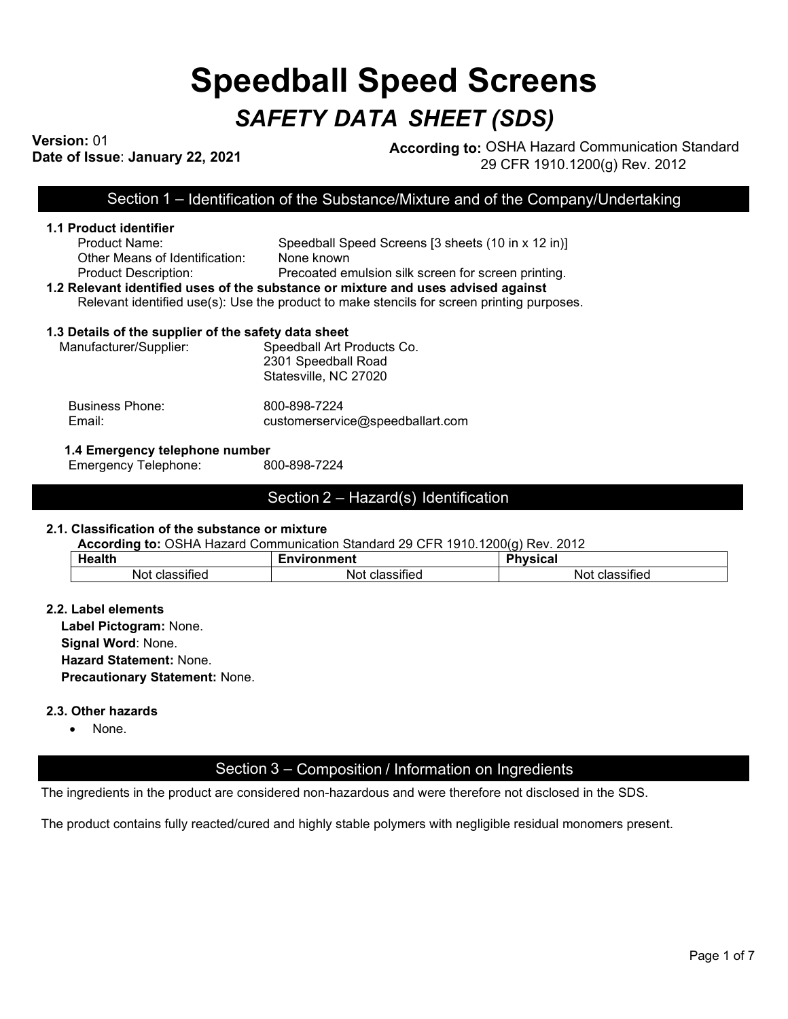# **Speedball Speed Screens** *SAFETY DATA SHEET (SDS)*

# **Version:** 01

**Dression:** 01<br>Date of Issue: January 22, 2021 **According to:** OSHA Hazard Communication Standard 29 CFR 1910.1200(g) Rev. 2012

Section 1 – Identification of the Substance/Mixture and of the Company/Undertaking

# **1.1 Product identifier** Product Name: Speedball Speed Screens [3 sheets (10 in x 12 in)] Other Means of Identification: None known

# Product Description: Precoated emulsion silk screen for screen printing.

#### **1.2 Relevant identified uses of the substance or mixture and uses advised against** Relevant identified use(s): Use the product to make stencils for screen printing purposes.

# **1.3 Details of the supplier of the safety data sheet**

| Manufacturer/Supplier: | Speedball Art Products Co. |
|------------------------|----------------------------|
|                        | 2301 Speedball Road        |
|                        | Statesville, NC 27020      |

| <b>Business Phone:</b> | 800-898-7224                     |
|------------------------|----------------------------------|
| Email:                 | customerservice@speedballart.com |

## **1.4 Emergency telephone number**

Emergency Telephone: 800-898-7224

# Section 2 – Hazard(s) Identification

### **2.1. Classification of the substance or mixture**

**According to:** OSHA Hazard Communication Standard 29 CFR 1910.1200(g) Rev. 2012

| الخام مربب<br>п.                | Environment                    | ، ، ،<br>nL.<br>. <b>.</b><br>. אטוכי           |
|---------------------------------|--------------------------------|-------------------------------------------------|
| $\sim$<br>Not<br>⊲ая<br>bəllitu | .<br>Nοι<br>----<br>ciassilieu | $\cdot$ .<br>N٥ι<br>. <b>.</b><br>siileu<br>. н |

### **2.2. Label elements**

**Label Pictogram:** None. **Signal Word**: None. **Hazard Statement:** None. **Precautionary Statement:** None.

### **2.3. Other hazards**

• None.

# Section 3 – Composition / Information on Ingredients

The ingredients in the product are considered non-hazardous and were therefore not disclosed in the SDS.

The product contains fully reacted/cured and highly stable polymers with negligible residual monomers present.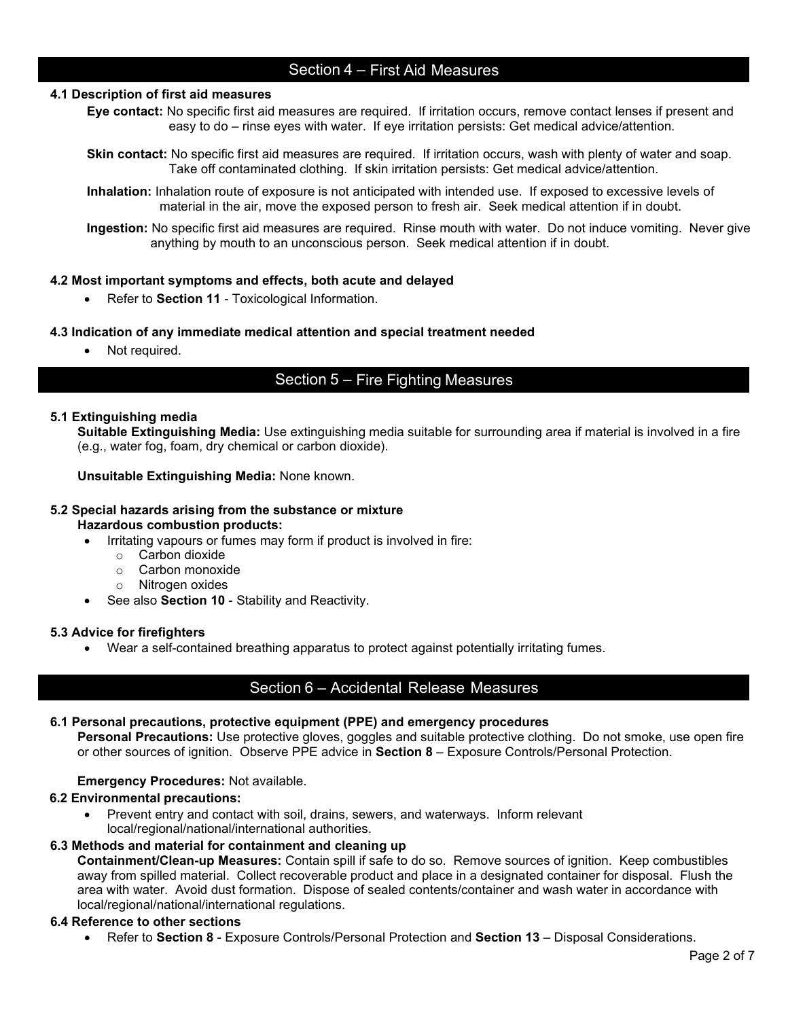# Section 4 – First Aid Measures

### **4.1 Description of first aid measures**

- **Eye contact:** No specific first aid measures are required. If irritation occurs, remove contact lenses if present and easy to do – rinse eyes with water. If eye irritation persists: Get medical advice/attention.
- **Skin contact:** No specific first aid measures are required. If irritation occurs, wash with plenty of water and soap. Take off contaminated clothing. If skin irritation persists: Get medical advice/attention.
- **Inhalation:** Inhalation route of exposure is not anticipated with intended use. If exposed to excessive levels of material in the air, move the exposed person to fresh air. Seek medical attention if in doubt.

**Ingestion:** No specific first aid measures are required. Rinse mouth with water. Do not induce vomiting. Never give anything by mouth to an unconscious person. Seek medical attention if in doubt.

### **4.2 Most important symptoms and effects, both acute and delayed**

• Refer to **Section 11** - Toxicological Information.

### **4.3 Indication of any immediate medical attention and special treatment needed**

• Not required.

# Section 5 – Fire Fighting Measures

### **5.1 Extinguishing media**

**Suitable Extinguishing Media:** Use extinguishing media suitable for surrounding area if material is involved in a fire (e.g., water fog, foam, dry chemical or carbon dioxide).

### **Unsuitable Extinguishing Media:** None known.

### **5.2 Special hazards arising from the substance or mixture Hazardous combustion products:**

- Irritating vapours or fumes may form if product is involved in fire:
	- o Carbon dioxide
	- o Carbon monoxide
	- o Nitrogen oxides
- See also **Section 10** Stability and Reactivity.

### **5.3 Advice for firefighters**

• Wear a self-contained breathing apparatus to protect against potentially irritating fumes.

## Section 6 – Accidental Release Measures

### **6.1 Personal precautions, protective equipment (PPE) and emergency procedures**

**Personal Precautions:** Use protective gloves, goggles and suitable protective clothing. Do not smoke, use open fire or other sources of ignition.Observe PPE advice in **Section 8** – Exposure Controls/Personal Protection.

### **Emergency Procedures:** Not available.

#### **6.2 Environmental precautions:**

• Prevent entry and contact with soil, drains, sewers, and waterways. Inform relevant local/regional/national/international authorities.

### **6.3 Methods and material for containment and cleaning up**

**Containment/Clean-up Measures:** Contain spill if safe to do so. Remove sources of ignition. Keep combustibles away from spilled material. Collect recoverable product and place in a designated container for disposal. Flush the area with water. Avoid dust formation. Dispose of sealed contents/container and wash water in accordance with local/regional/national/international regulations.

#### **6.4 Reference to other sections**

• Refer to **Section 8** - Exposure Controls/Personal Protection and **Section 13** – Disposal Considerations.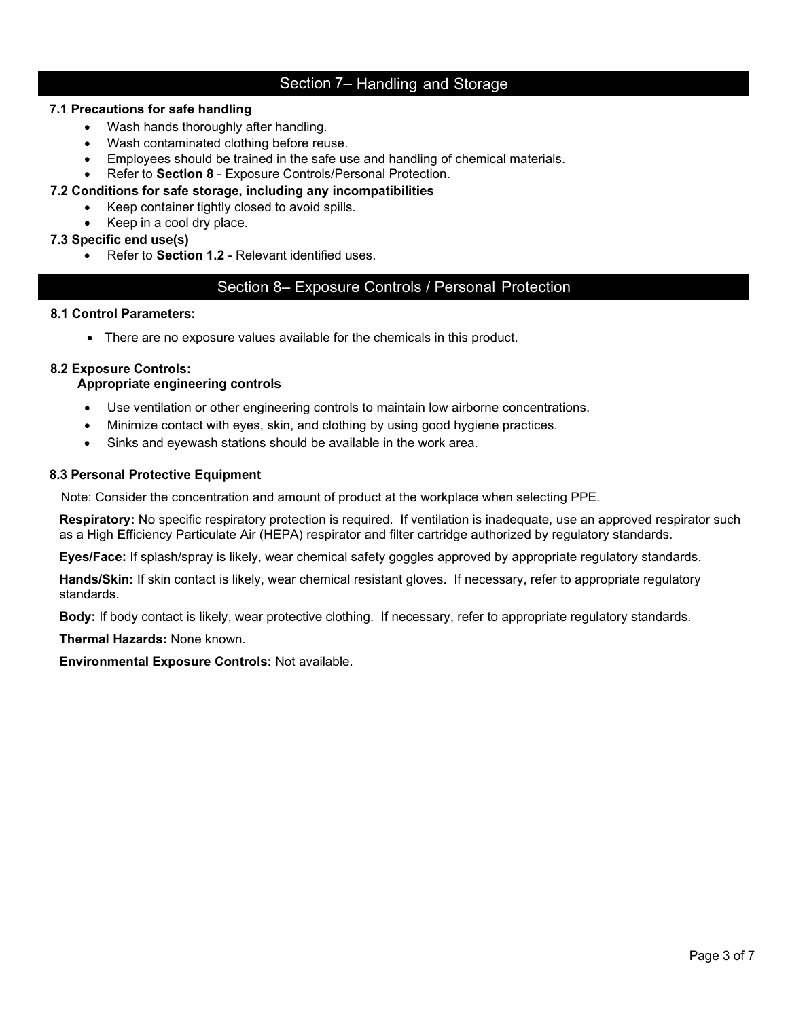# Section 7– Handling and Storage

### **7.1 Precautions for safe handling**

- Wash hands thoroughly after handling.
- Wash contaminated clothing before reuse.
- Employees should be trained in the safe use and handling of chemical materials.
- Refer to **Section 8** Exposure Controls/Personal Protection.

# **7.2 Conditions for safe storage, including any incompatibilities**

- Keep container tightly closed to avoid spills.
	- Keep in a cool dry place.

### **7.3 Specific end use(s)**

• Refer to **Section 1.2** - Relevant identified uses.

# Section 8– Exposure Controls / Personal Protection

### **8.1 Control Parameters:**

• There are no exposure values available for the chemicals in this product.

### **8.2 Exposure Controls:**

### **Appropriate engineering controls**

- Use ventilation or other engineering controls to maintain low airborne concentrations.
- Minimize contact with eyes, skin, and clothing by using good hygiene practices.
- Sinks and eyewash stations should be available in the work area.

### **8.3 Personal Protective Equipment**

Note: Consider the concentration and amount of product at the workplace when selecting PPE.

**Respiratory:** No specific respiratory protection is required. If ventilation is inadequate, use an approved respirator such as a High Efficiency Particulate Air (HEPA) respirator and filter cartridge authorized by regulatory standards.

**Eyes/Face:** If splash/spray is likely, wear chemical safety goggles approved by appropriate regulatory standards.

**Hands/Skin:** If skin contact is likely, wear chemical resistant gloves. If necessary, refer to appropriate regulatory standards.

**Body:** If body contact is likely, wear protective clothing. If necessary, refer to appropriate regulatory standards.

**Thermal Hazards:** None known.

**Environmental Exposure Controls:** Not available.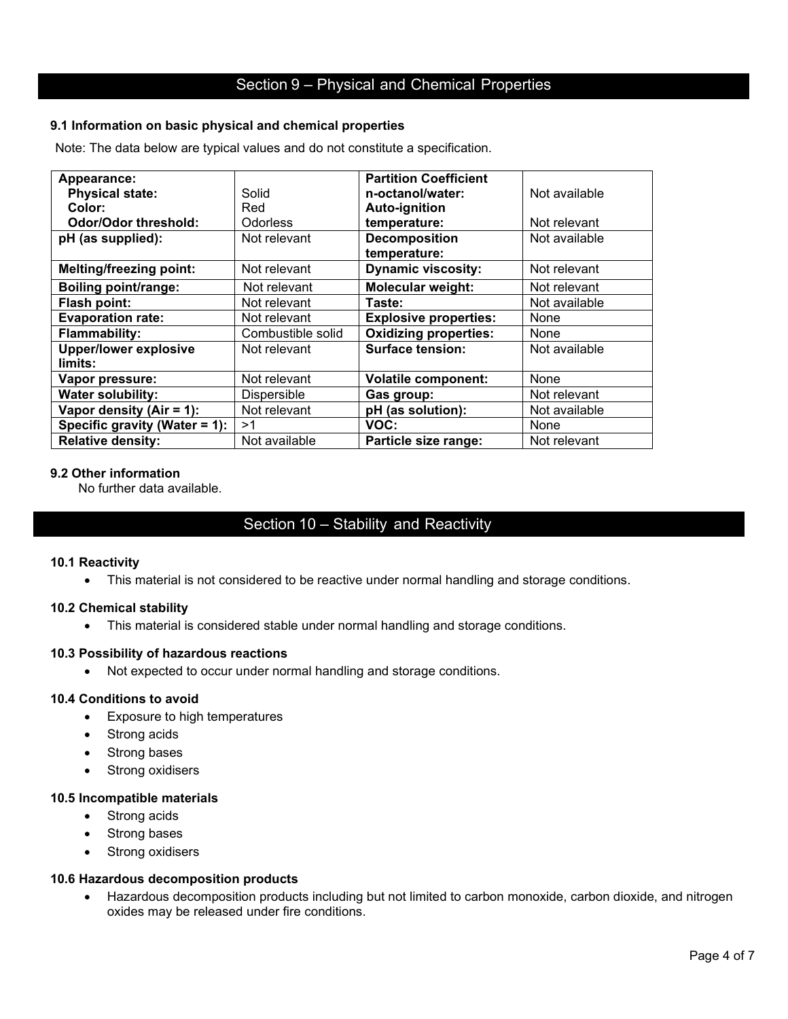### **9.1 Information on basic physical and chemical properties**

Note: The data below are typical values and do not constitute a specification.

| Appearance:                    |                   | <b>Partition Coefficient</b> |               |
|--------------------------------|-------------------|------------------------------|---------------|
| <b>Physical state:</b>         | Solid             | n-octanol/water:             | Not available |
| Color:                         | Red               | Auto-ignition                |               |
| <b>Odor/Odor threshold:</b>    | <b>Odorless</b>   | temperature:                 | Not relevant  |
| pH (as supplied):              | Not relevant      | <b>Decomposition</b>         | Not available |
|                                |                   | temperature:                 |               |
| <b>Melting/freezing point:</b> | Not relevant      | <b>Dynamic viscosity:</b>    | Not relevant  |
| <b>Boiling point/range:</b>    | Not relevant      | Molecular weight:            | Not relevant  |
| Flash point:                   | Not relevant      | Taste:                       | Not available |
| <b>Evaporation rate:</b>       | Not relevant      | <b>Explosive properties:</b> | None          |
| <b>Flammability:</b>           | Combustible solid | <b>Oxidizing properties:</b> | None          |
| <b>Upper/lower explosive</b>   | Not relevant      | <b>Surface tension:</b>      | Not available |
| limits:                        |                   |                              |               |
| Vapor pressure:                | Not relevant      | <b>Volatile component:</b>   | None          |
| <b>Water solubility:</b>       | Dispersible       | Gas group:                   | Not relevant  |
| Vapor density (Air = $1$ ):    | Not relevant      | pH (as solution):            | Not available |
| Specific gravity (Water = 1):  | >1                | VOC:                         | None          |
| <b>Relative density:</b>       | Not available     | Particle size range:         | Not relevant  |

### **9.2 Other information**

No further data available.

# Section 10 – Stability and Reactivity

#### **10.1 Reactivity**

• This material is not considered to be reactive under normal handling and storage conditions.

### **10.2 Chemical stability**

• This material is considered stable under normal handling and storage conditions.

### **10.3 Possibility of hazardous reactions**

• Not expected to occur under normal handling and storage conditions.

#### **10.4 Conditions to avoid**

- Exposure to high temperatures
- Strong acids
- Strong bases
- Strong oxidisers

#### **10.5 Incompatible materials**

- Strong acids
- Strong bases
- Strong oxidisers

### **10.6 Hazardous decomposition products**

• Hazardous decomposition products including but not limited to carbon monoxide, carbon dioxide, and nitrogen oxides may be released under fire conditions.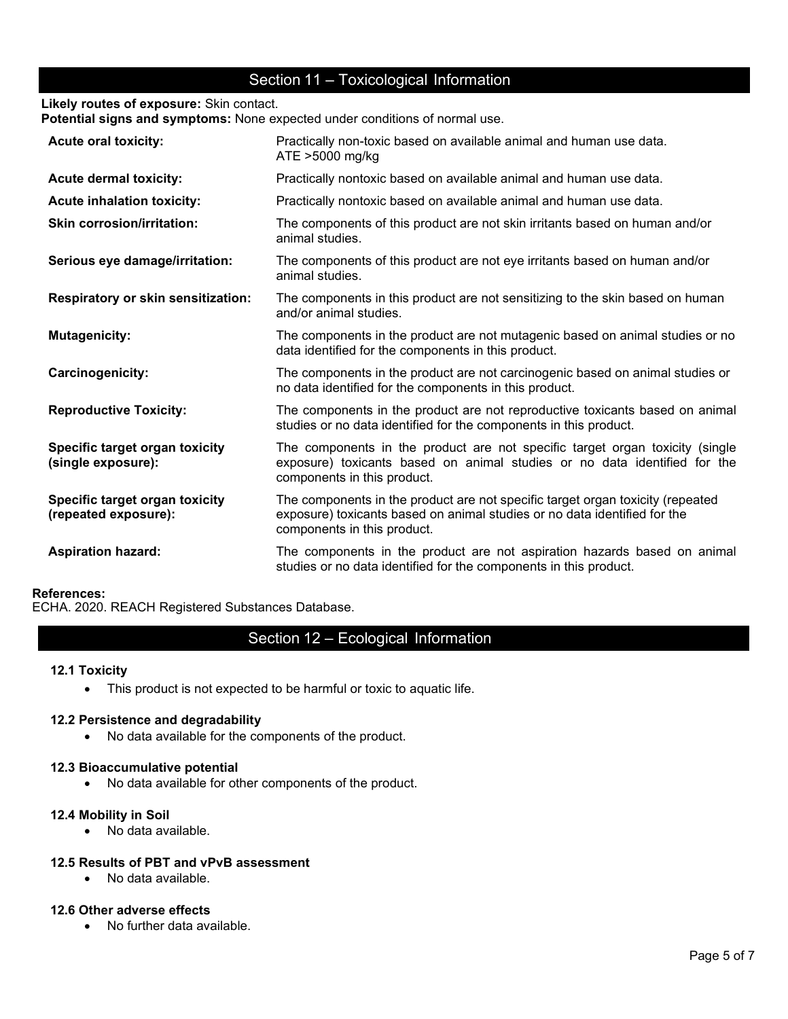# Section 11 – Toxicological Information

**Likely routes of exposure:** Skin contact.

**Potential signs and symptoms:** None expected under conditions of normal use.

| <b>Acute oral toxicity:</b>                            | Practically non-toxic based on available animal and human use data.<br>ATE >5000 mg/kg                                                                                                     |
|--------------------------------------------------------|--------------------------------------------------------------------------------------------------------------------------------------------------------------------------------------------|
| <b>Acute dermal toxicity:</b>                          | Practically nontoxic based on available animal and human use data.                                                                                                                         |
| <b>Acute inhalation toxicity:</b>                      | Practically nontoxic based on available animal and human use data.                                                                                                                         |
| <b>Skin corrosion/irritation:</b>                      | The components of this product are not skin irritants based on human and/or<br>animal studies.                                                                                             |
| Serious eye damage/irritation:                         | The components of this product are not eye irritants based on human and/or<br>animal studies.                                                                                              |
| <b>Respiratory or skin sensitization:</b>              | The components in this product are not sensitizing to the skin based on human<br>and/or animal studies.                                                                                    |
| <b>Mutagenicity:</b>                                   | The components in the product are not mutagenic based on animal studies or no<br>data identified for the components in this product.                                                       |
| Carcinogenicity:                                       | The components in the product are not carcinogenic based on animal studies or<br>no data identified for the components in this product.                                                    |
| <b>Reproductive Toxicity:</b>                          | The components in the product are not reproductive toxicants based on animal<br>studies or no data identified for the components in this product.                                          |
| Specific target organ toxicity<br>(single exposure):   | The components in the product are not specific target organ toxicity (single<br>exposure) toxicants based on animal studies or no data identified for the<br>components in this product.   |
| Specific target organ toxicity<br>(repeated exposure): | The components in the product are not specific target organ toxicity (repeated<br>exposure) toxicants based on animal studies or no data identified for the<br>components in this product. |
| <b>Aspiration hazard:</b>                              | The components in the product are not aspiration hazards based on animal<br>studies or no data identified for the components in this product.                                              |

## **References:**

ECHA. 2020. REACH Registered Substances Database.

# Section 12 – Ecological Information

### **12.1 Toxicity**

• This product is not expected to be harmful or toxic to aquatic life.

### **12.2 Persistence and degradability**

• No data available for the components of the product.

#### **12.3 Bioaccumulative potential**

• No data available for other components of the product.

### **12.4 Mobility in Soil**

• No data available.

### **12.5 Results of PBT and vPvB assessment**

• No data available.

#### **12.6 Other adverse effects**

• No further data available.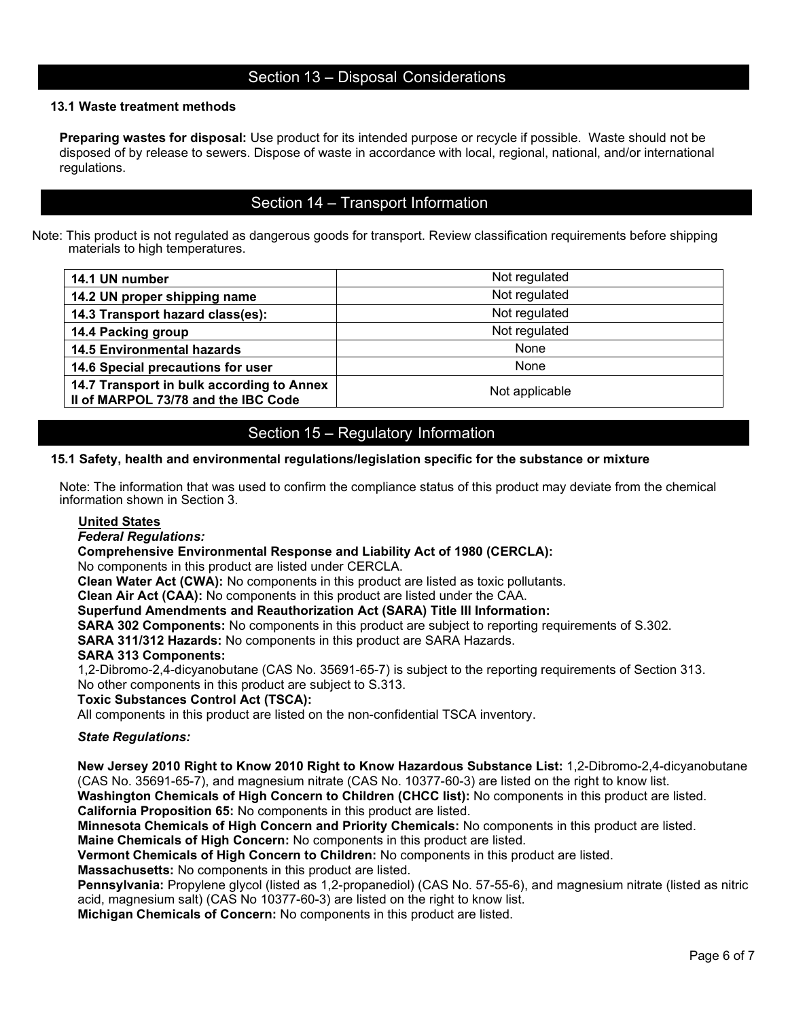# Section 13 – Disposal Considerations

### **13.1 Waste treatment methods**

**Preparing wastes for disposal:** Use product for its intended purpose or recycle if possible. Waste should not be disposed of by release to sewers. Dispose of waste in accordance with local, regional, national, and/or international regulations.

# Section 14 – Transport Information

Note: This product is not regulated as dangerous goods for transport. Review classification requirements before shipping materials to high temperatures.

| 14.1 UN number                                                                   | Not regulated  |
|----------------------------------------------------------------------------------|----------------|
| 14.2 UN proper shipping name                                                     | Not regulated  |
| 14.3 Transport hazard class(es):                                                 | Not regulated  |
| 14.4 Packing group                                                               | Not regulated  |
| <b>14.5 Environmental hazards</b>                                                | None           |
| 14.6 Special precautions for user                                                | None           |
| 14.7 Transport in bulk according to Annex<br>Il of MARPOL 73/78 and the IBC Code | Not applicable |

# Section 15 – Regulatory Information

#### **15.1 Safety, health and environmental regulations/legislation specific for the substance or mixture**

Note: The information that was used to confirm the compliance status of this product may deviate from the chemical information shown in Section 3.

#### **United States**

*Federal Regulations:*

### **Comprehensive Environmental Response and Liability Act of 1980 (CERCLA):**

No components in this product are listed under CERCLA.

**Clean Water Act (CWA):** No components in this product are listed as toxic pollutants.

**Clean Air Act (CAA):** No components in this product are listed under the CAA.

### **Superfund Amendments and Reauthorization Act (SARA) Title III Information:**

**SARA 302 Components:** No components in this product are subject to reporting requirements of S.302.

**SARA 311/312 Hazards:** No components in this product are SARA Hazards.

#### **SARA 313 Components:**

1,2-Dibromo-2,4-dicyanobutane (CAS No. 35691-65-7) is subject to the reporting requirements of Section 313. No other components in this product are subject to S.313.

#### **Toxic Substances Control Act (TSCA):**

All components in this product are listed on the non-confidential TSCA inventory.

#### *State Regulations:*

**New Jersey 2010 Right to Know 2010 Right to Know Hazardous Substance List:** 1,2-Dibromo-2,4-dicyanobutane (CAS No. 35691-65-7), and magnesium nitrate (CAS No. 10377-60-3) are listed on the right to know list.

**Washington Chemicals of High Concern to Children (CHCC list):** No components in this product are listed. **California Proposition 65:** No components in this product are listed.

**Minnesota Chemicals of High Concern and Priority Chemicals:** No components in this product are listed.

**Maine Chemicals of High Concern:** No components in this product are listed.

**Vermont Chemicals of High Concern to Children:** No components in this product are listed.

**Massachusetts:** No components in this product are listed.

**Pennsylvania:** Propylene glycol (listed as 1,2-propanediol) (CAS No. 57-55-6), and magnesium nitrate (listed as nitric acid, magnesium salt) (CAS No 10377-60-3) are listed on the right to know list.

**Michigan Chemicals of Concern:** No components in this product are listed.